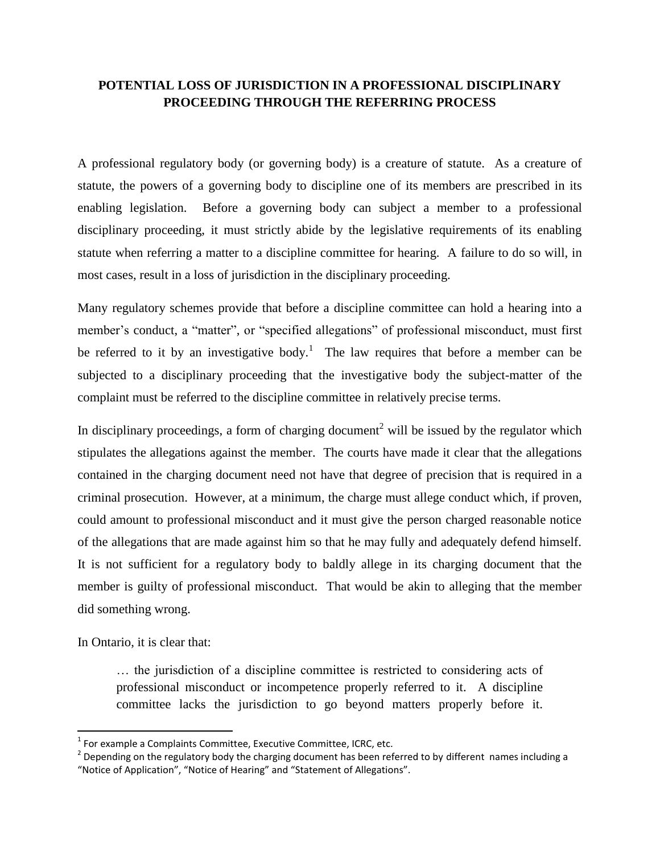## **POTENTIAL LOSS OF JURISDICTION IN A PROFESSIONAL DISCIPLINARY PROCEEDING THROUGH THE REFERRING PROCESS**

A professional regulatory body (or governing body) is a creature of statute. As a creature of statute, the powers of a governing body to discipline one of its members are prescribed in its enabling legislation. Before a governing body can subject a member to a professional disciplinary proceeding, it must strictly abide by the legislative requirements of its enabling statute when referring a matter to a discipline committee for hearing. A failure to do so will, in most cases, result in a loss of jurisdiction in the disciplinary proceeding.

Many regulatory schemes provide that before a discipline committee can hold a hearing into a member's conduct, a "matter", or "specified allegations" of professional misconduct, must first be referred to it by an investigative body.<sup>1</sup> The law requires that before a member can be subjected to a disciplinary proceeding that the investigative body the subject-matter of the complaint must be referred to the discipline committee in relatively precise terms.

In disciplinary proceedings, a form of charging document<sup>2</sup> will be issued by the regulator which stipulates the allegations against the member. The courts have made it clear that the allegations contained in the charging document need not have that degree of precision that is required in a criminal prosecution. However, at a minimum, the charge must allege conduct which, if proven, could amount to professional misconduct and it must give the person charged reasonable notice of the allegations that are made against him so that he may fully and adequately defend himself. It is not sufficient for a regulatory body to baldly allege in its charging document that the member is guilty of professional misconduct. That would be akin to alleging that the member did something wrong.

In Ontario, it is clear that:

 $\overline{\phantom{a}}$ 

… the jurisdiction of a discipline committee is restricted to considering acts of professional misconduct or incompetence properly referred to it. A discipline committee lacks the jurisdiction to go beyond matters properly before it.

 $<sup>1</sup>$  For example a Complaints Committee, Executive Committee, ICRC, etc.</sup>

 $^{2}$  Depending on the regulatory body the charging document has been referred to by different names including a "Notice of Application", "Notice of Hearing" and "Statement of Allegations".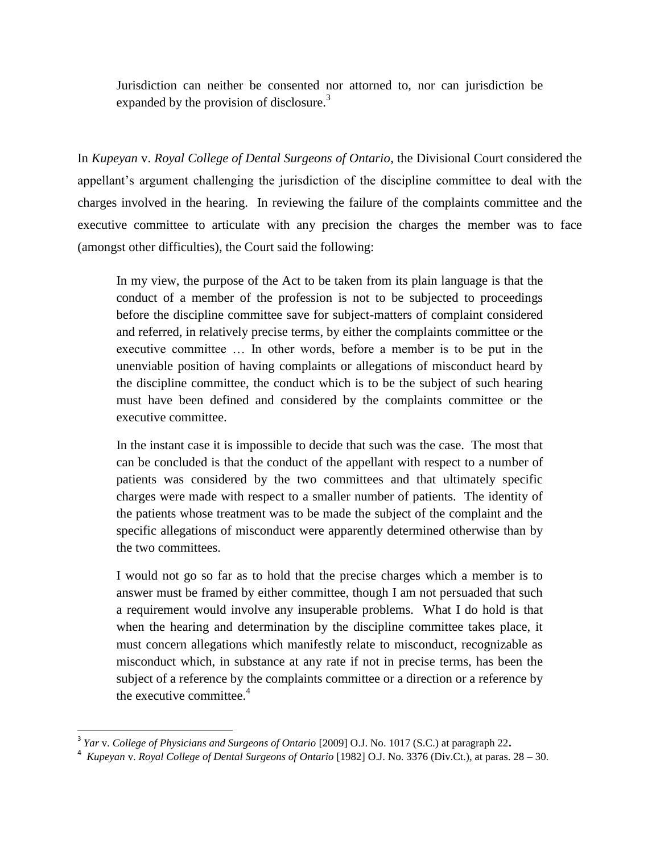Jurisdiction can neither be consented nor attorned to, nor can jurisdiction be expanded by the provision of disclosure.<sup>3</sup>

In *Kupeyan* v. *Royal College of Dental Surgeons of Ontario*, the Divisional Court considered the appellant's argument challenging the jurisdiction of the discipline committee to deal with the charges involved in the hearing. In reviewing the failure of the complaints committee and the executive committee to articulate with any precision the charges the member was to face (amongst other difficulties), the Court said the following:

In my view, the purpose of the Act to be taken from its plain language is that the conduct of a member of the profession is not to be subjected to proceedings before the discipline committee save for subject-matters of complaint considered and referred, in relatively precise terms, by either the complaints committee or the executive committee … In other words, before a member is to be put in the unenviable position of having complaints or allegations of misconduct heard by the discipline committee, the conduct which is to be the subject of such hearing must have been defined and considered by the complaints committee or the executive committee.

In the instant case it is impossible to decide that such was the case. The most that can be concluded is that the conduct of the appellant with respect to a number of patients was considered by the two committees and that ultimately specific charges were made with respect to a smaller number of patients. The identity of the patients whose treatment was to be made the subject of the complaint and the specific allegations of misconduct were apparently determined otherwise than by the two committees.

I would not go so far as to hold that the precise charges which a member is to answer must be framed by either committee, though I am not persuaded that such a requirement would involve any insuperable problems. What I do hold is that when the hearing and determination by the discipline committee takes place, it must concern allegations which manifestly relate to misconduct, recognizable as misconduct which, in substance at any rate if not in precise terms, has been the subject of a reference by the complaints committee or a direction or a reference by the executive committee. $4$ 

 3 *Yar* v. *College of Physicians and Surgeons of Ontario* [2009] O.J. No. 1017 (S.C.) at paragraph 22**.**

<sup>4</sup> *Kupeyan* v. *Royal College of Dental Surgeons of Ontario* [1982] O.J. No. 3376 (Div.Ct.), at paras. 28 – 30.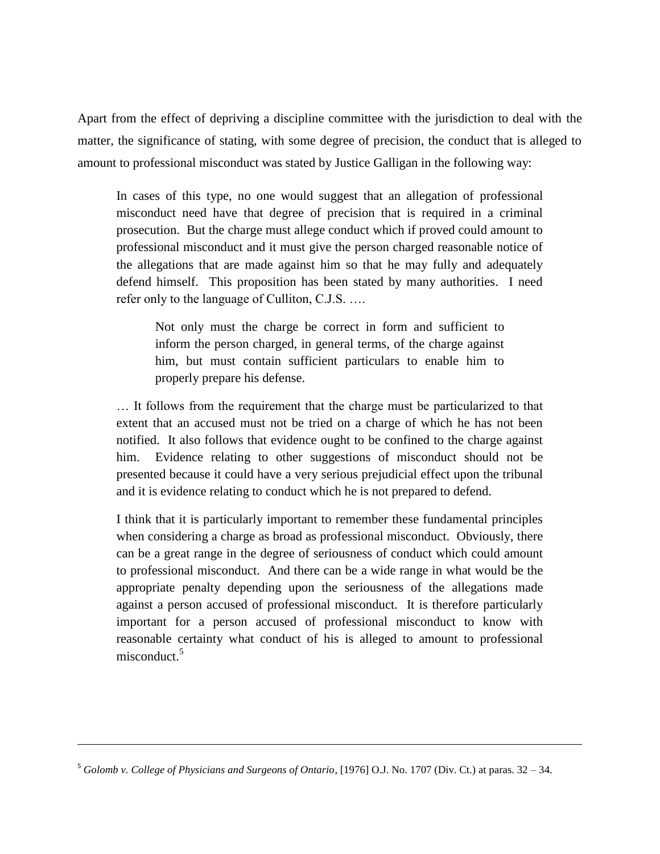Apart from the effect of depriving a discipline committee with the jurisdiction to deal with the matter, the significance of stating, with some degree of precision, the conduct that is alleged to amount to professional misconduct was stated by Justice Galligan in the following way:

In cases of this type, no one would suggest that an allegation of professional misconduct need have that degree of precision that is required in a criminal prosecution. But the charge must allege conduct which if proved could amount to professional misconduct and it must give the person charged reasonable notice of the allegations that are made against him so that he may fully and adequately defend himself. This proposition has been stated by many authorities. I need refer only to the language of Culliton, C.J.S. ….

Not only must the charge be correct in form and sufficient to inform the person charged, in general terms, of the charge against him, but must contain sufficient particulars to enable him to properly prepare his defense.

… It follows from the requirement that the charge must be particularized to that extent that an accused must not be tried on a charge of which he has not been notified. It also follows that evidence ought to be confined to the charge against him. Evidence relating to other suggestions of misconduct should not be presented because it could have a very serious prejudicial effect upon the tribunal and it is evidence relating to conduct which he is not prepared to defend.

I think that it is particularly important to remember these fundamental principles when considering a charge as broad as professional misconduct. Obviously, there can be a great range in the degree of seriousness of conduct which could amount to professional misconduct. And there can be a wide range in what would be the appropriate penalty depending upon the seriousness of the allegations made against a person accused of professional misconduct. It is therefore particularly important for a person accused of professional misconduct to know with reasonable certainty what conduct of his is alleged to amount to professional misconduct  $5$ 

l

<sup>5</sup> *Golomb v. College of Physicians and Surgeons of Ontario*, [1976] O.J. No. 1707 (Div. Ct.) at paras. 32 – 34.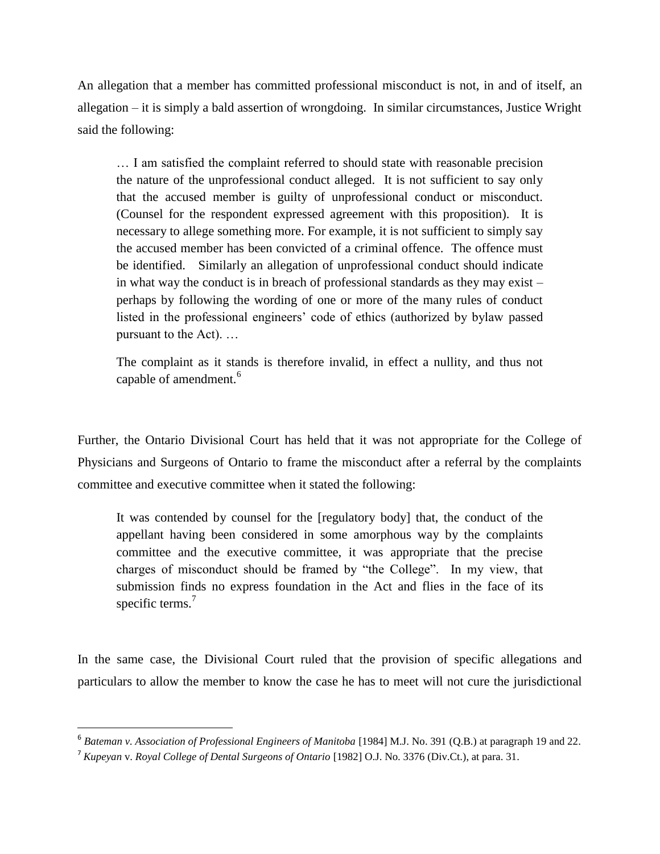An allegation that a member has committed professional misconduct is not, in and of itself, an allegation – it is simply a bald assertion of wrongdoing. In similar circumstances, Justice Wright said the following:

… I am satisfied the complaint referred to should state with reasonable precision the nature of the unprofessional conduct alleged. It is not sufficient to say only that the accused member is guilty of unprofessional conduct or misconduct. (Counsel for the respondent expressed agreement with this proposition). It is necessary to allege something more. For example, it is not sufficient to simply say the accused member has been convicted of a criminal offence. The offence must be identified. Similarly an allegation of unprofessional conduct should indicate in what way the conduct is in breach of professional standards as they may exist – perhaps by following the wording of one or more of the many rules of conduct listed in the professional engineers' code of ethics (authorized by bylaw passed pursuant to the Act). …

The complaint as it stands is therefore invalid, in effect a nullity, and thus not capable of amendment.<sup>6</sup>

Further, the Ontario Divisional Court has held that it was not appropriate for the College of Physicians and Surgeons of Ontario to frame the misconduct after a referral by the complaints committee and executive committee when it stated the following:

It was contended by counsel for the [regulatory body] that, the conduct of the appellant having been considered in some amorphous way by the complaints committee and the executive committee, it was appropriate that the precise charges of misconduct should be framed by "the College". In my view, that submission finds no express foundation in the Act and flies in the face of its specific terms.<sup>7</sup>

In the same case, the Divisional Court ruled that the provision of specific allegations and particulars to allow the member to know the case he has to meet will not cure the jurisdictional

 $\overline{\phantom{a}}$ 

<sup>&</sup>lt;sup>6</sup> Bateman v. Association of Professional Engineers of Manitoba [1984] M.J. No. 391 (Q.B.) at paragraph 19 and 22.

<sup>7</sup> *Kupeyan* v. *Royal College of Dental Surgeons of Ontario* [1982] O.J. No. 3376 (Div.Ct.), at para. 31.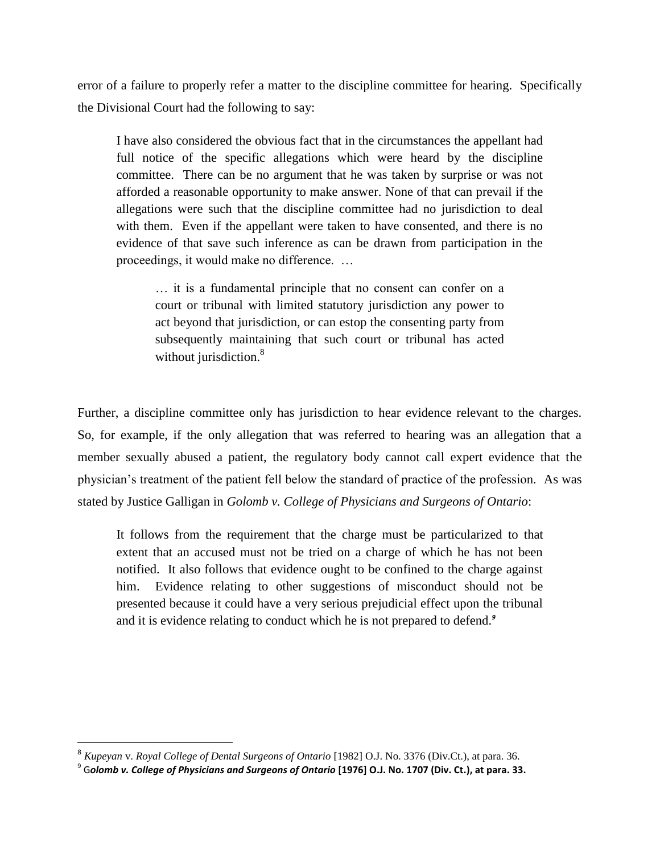error of a failure to properly refer a matter to the discipline committee for hearing. Specifically the Divisional Court had the following to say:

I have also considered the obvious fact that in the circumstances the appellant had full notice of the specific allegations which were heard by the discipline committee. There can be no argument that he was taken by surprise or was not afforded a reasonable opportunity to make answer. None of that can prevail if the allegations were such that the discipline committee had no jurisdiction to deal with them. Even if the appellant were taken to have consented, and there is no evidence of that save such inference as can be drawn from participation in the proceedings, it would make no difference. …

… it is a fundamental principle that no consent can confer on a court or tribunal with limited statutory jurisdiction any power to act beyond that jurisdiction, or can estop the consenting party from subsequently maintaining that such court or tribunal has acted without jurisdiction.<sup>8</sup>

Further, a discipline committee only has jurisdiction to hear evidence relevant to the charges. So, for example, if the only allegation that was referred to hearing was an allegation that a member sexually abused a patient, the regulatory body cannot call expert evidence that the physician's treatment of the patient fell below the standard of practice of the profession. As was stated by Justice Galligan in *Golomb v. College of Physicians and Surgeons of Ontario*:

It follows from the requirement that the charge must be particularized to that extent that an accused must not be tried on a charge of which he has not been notified. It also follows that evidence ought to be confined to the charge against him. Evidence relating to other suggestions of misconduct should not be presented because it could have a very serious prejudicial effect upon the tribunal and it is evidence relating to conduct which he is not prepared to defend.*<sup>9</sup>*

 $\overline{\phantom{a}}$ 

<sup>8</sup> *Kupeyan* v. *Royal College of Dental Surgeons of Ontario* [1982] O.J. No. 3376 (Div.Ct.), at para. 36.

<sup>9</sup> G*olomb v. College of Physicians and Surgeons of Ontario* **[1976] O.J. No. 1707 (Div. Ct.), at para. 33.**